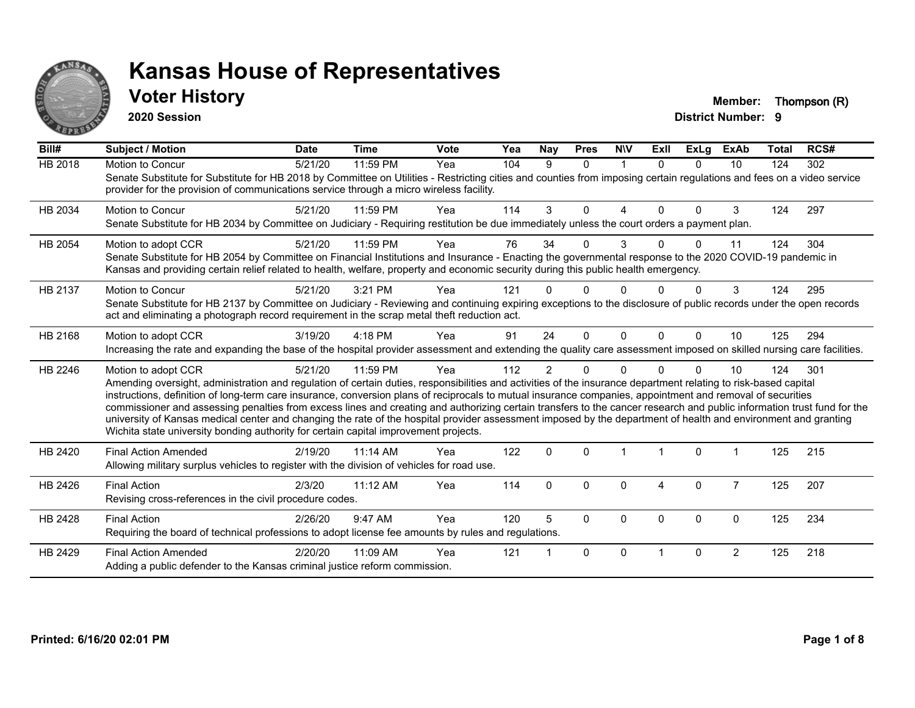

## **Voter History Member: Thompson (R)**

**2020 Session**

| Bill#          | Subject / Motion                                                                                                                                                                                                                                                                                                                                                                                                                                                                                                                                                                                                                                                                                                                                                                         | <b>Date</b> | <b>Time</b> | <b>Vote</b> | Yea | <b>Nay</b>     | <b>Pres</b>  | <b>NIV</b>   | ExII         | ExLg     | <b>ExAb</b>    | Total | RCS# |
|----------------|------------------------------------------------------------------------------------------------------------------------------------------------------------------------------------------------------------------------------------------------------------------------------------------------------------------------------------------------------------------------------------------------------------------------------------------------------------------------------------------------------------------------------------------------------------------------------------------------------------------------------------------------------------------------------------------------------------------------------------------------------------------------------------------|-------------|-------------|-------------|-----|----------------|--------------|--------------|--------------|----------|----------------|-------|------|
| <b>HB 2018</b> | Motion to Concur<br>Senate Substitute for Substitute for HB 2018 by Committee on Utilities - Restricting cities and counties from imposing certain regulations and fees on a video service<br>provider for the provision of communications service through a micro wireless facility.                                                                                                                                                                                                                                                                                                                                                                                                                                                                                                    | 5/21/20     | 11:59 PM    | Yea         | 104 | 9              | $\Omega$     | $\mathbf{1}$ | $\Omega$     | $\Omega$ | 10             | 124   | 302  |
| HB 2034        | Motion to Concur<br>Senate Substitute for HB 2034 by Committee on Judiciary - Requiring restitution be due immediately unless the court orders a payment plan.                                                                                                                                                                                                                                                                                                                                                                                                                                                                                                                                                                                                                           | 5/21/20     | 11:59 PM    | Yea         | 114 | 3              | $\Omega$     | 4            | $\Omega$     | $\Omega$ | 3              | 124   | 297  |
| HB 2054        | Motion to adopt CCR<br>Senate Substitute for HB 2054 by Committee on Financial Institutions and Insurance - Enacting the governmental response to the 2020 COVID-19 pandemic in<br>Kansas and providing certain relief related to health, welfare, property and economic security during this public health emergency.                                                                                                                                                                                                                                                                                                                                                                                                                                                                   | 5/21/20     | 11:59 PM    | Yea         | 76  | 34             | $\Omega$     | 3            | <sup>n</sup> | $\Omega$ | 11             | 124   | 304  |
| HB 2137        | Motion to Concur<br>Senate Substitute for HB 2137 by Committee on Judiciary - Reviewing and continuing expiring exceptions to the disclosure of public records under the open records<br>act and eliminating a photograph record requirement in the scrap metal theft reduction act.                                                                                                                                                                                                                                                                                                                                                                                                                                                                                                     | 5/21/20     | 3:21 PM     | Yea         | 121 |                | $\Omega$     | 0            |              | ∩        | 3              | 124   | 295  |
| HB 2168        | Motion to adopt CCR<br>Increasing the rate and expanding the base of the hospital provider assessment and extending the quality care assessment imposed on skilled nursing care facilities.                                                                                                                                                                                                                                                                                                                                                                                                                                                                                                                                                                                              | 3/19/20     | 4:18 PM     | Yea         | 91  | 24             | $\Omega$     | $\Omega$     | $\Omega$     | $\Omega$ | 10             | 125   | 294  |
| HB 2246        | Motion to adopt CCR<br>Amending oversight, administration and regulation of certain duties, responsibilities and activities of the insurance department relating to risk-based capital<br>instructions, definition of long-term care insurance, conversion plans of reciprocals to mutual insurance companies, appointment and removal of securities<br>commissioner and assessing penalties from excess lines and creating and authorizing certain transfers to the cancer research and public information trust fund for the<br>university of Kansas medical center and changing the rate of the hospital provider assessment imposed by the department of health and environment and granting<br>Wichita state university bonding authority for certain capital improvement projects. | 5/21/20     | 11:59 PM    | Yea         | 112 | $\overline{2}$ | $\Omega$     | $\Omega$     |              | $\Omega$ | 10             | 124   | 301  |
| HB 2420        | <b>Final Action Amended</b><br>Allowing military surplus vehicles to register with the division of vehicles for road use.                                                                                                                                                                                                                                                                                                                                                                                                                                                                                                                                                                                                                                                                | 2/19/20     | 11:14 AM    | Yea         | 122 | $\mathbf{0}$   | $\Omega$     |              | 1            | $\Omega$ |                | 125   | 215  |
| HB 2426        | <b>Final Action</b><br>Revising cross-references in the civil procedure codes.                                                                                                                                                                                                                                                                                                                                                                                                                                                                                                                                                                                                                                                                                                           | 2/3/20      | $11:12$ AM  | Yea         | 114 | $\Omega$       | $\Omega$     | $\Omega$     | 4            | $\Omega$ | $\overline{7}$ | 125   | 207  |
| HB 2428        | <b>Final Action</b><br>Requiring the board of technical professions to adopt license fee amounts by rules and regulations.                                                                                                                                                                                                                                                                                                                                                                                                                                                                                                                                                                                                                                                               | 2/26/20     | 9:47 AM     | Yea         | 120 | 5              | $\Omega$     | $\Omega$     | $\Omega$     | $\Omega$ | $\mathbf{0}$   | 125   | 234  |
| HB 2429        | <b>Final Action Amended</b><br>Adding a public defender to the Kansas criminal justice reform commission.                                                                                                                                                                                                                                                                                                                                                                                                                                                                                                                                                                                                                                                                                | 2/20/20     | 11:09 AM    | Yea         | 121 |                | $\mathbf{0}$ | $\Omega$     |              | $\Omega$ | 2              | 125   | 218  |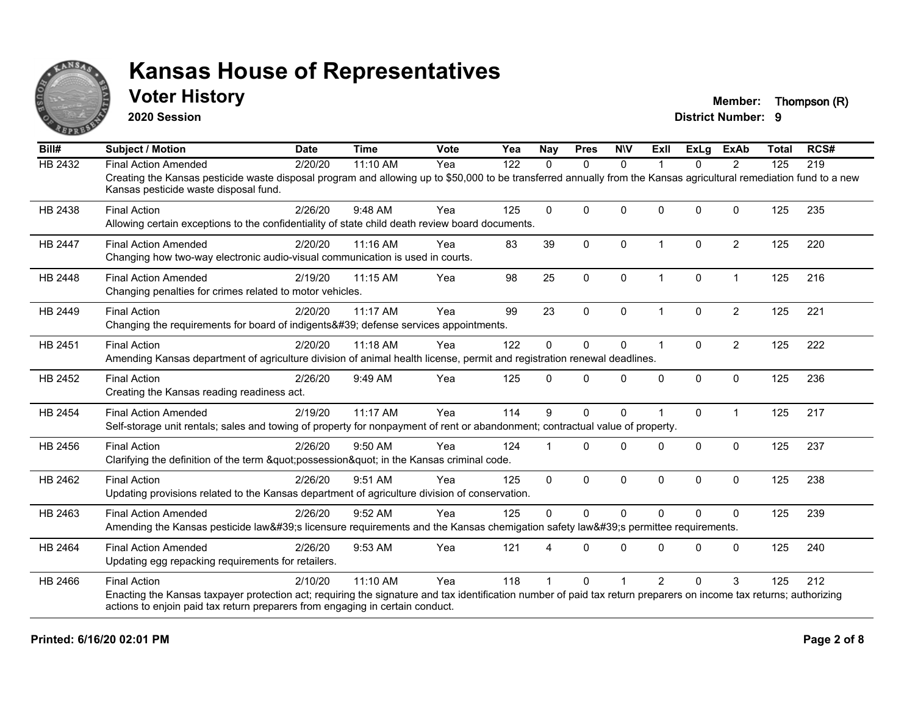

## **Voter History Member: Thompson (R)**

**2020 Session**

| Bill#          | <b>Subject / Motion</b>                                                                                                                                                                                     | <b>Date</b> | <b>Time</b> | Vote | Yea | <b>Nay</b>   | <b>Pres</b>  | <b>NIV</b>   | ExII                 | <b>ExLg</b> | <b>ExAb</b>    | <b>Total</b> | RCS# |
|----------------|-------------------------------------------------------------------------------------------------------------------------------------------------------------------------------------------------------------|-------------|-------------|------|-----|--------------|--------------|--------------|----------------------|-------------|----------------|--------------|------|
| <b>HB 2432</b> | <b>Final Action Amended</b>                                                                                                                                                                                 | 2/20/20     | 11:10 AM    | Yea  | 122 | 0            | $\mathbf{0}$ | $\Omega$     |                      | 0           | 2              | 125          | 219  |
|                | Creating the Kansas pesticide waste disposal program and allowing up to \$50,000 to be transferred annually from the Kansas agricultural remediation fund to a new<br>Kansas pesticide waste disposal fund. |             |             |      |     |              |              |              |                      |             |                |              |      |
| HB 2438        | <b>Final Action</b>                                                                                                                                                                                         | 2/26/20     | 9:48 AM     | Yea  | 125 | $\Omega$     | $\mathbf{0}$ | $\Omega$     | $\Omega$             | $\Omega$    | $\mathbf{0}$   | 125          | 235  |
|                | Allowing certain exceptions to the confidentiality of state child death review board documents.                                                                                                             |             |             |      |     |              |              |              |                      |             |                |              |      |
| <b>HB 2447</b> | <b>Final Action Amended</b>                                                                                                                                                                                 | 2/20/20     | 11:16 AM    | Yea  | 83  | 39           | $\mathbf{0}$ | $\Omega$     | $\blacktriangleleft$ | $\Omega$    | $\overline{2}$ | 125          | 220  |
|                | Changing how two-way electronic audio-visual communication is used in courts.                                                                                                                               |             |             |      |     |              |              |              |                      |             |                |              |      |
| <b>HB 2448</b> | <b>Final Action Amended</b>                                                                                                                                                                                 | 2/19/20     | $11:15$ AM  | Yea  | 98  | 25           | $\mathbf 0$  | $\Omega$     | $\mathbf{1}$         | $\Omega$    | $\mathbf{1}$   | 125          | 216  |
|                | Changing penalties for crimes related to motor vehicles.                                                                                                                                                    |             |             |      |     |              |              |              |                      |             |                |              |      |
| HB 2449        | <b>Final Action</b>                                                                                                                                                                                         | 2/20/20     | 11:17 AM    | Yea  | 99  | 23           | $\mathbf 0$  | $\Omega$     | $\blacktriangleleft$ | $\Omega$    | $\overline{2}$ | 125          | 221  |
|                | Changing the requirements for board of indigents' defense services appointments.                                                                                                                            |             |             |      |     |              |              |              |                      |             |                |              |      |
| HB 2451        | <b>Final Action</b>                                                                                                                                                                                         | 2/20/20     | 11:18 AM    | Yea  | 122 | $\Omega$     | $\mathbf{0}$ | $\Omega$     | $\blacktriangleleft$ | $\Omega$    | $\overline{2}$ | 125          | 222  |
|                | Amending Kansas department of agriculture division of animal health license, permit and registration renewal deadlines.                                                                                     |             |             |      |     |              |              |              |                      |             |                |              |      |
| HB 2452        | <b>Final Action</b>                                                                                                                                                                                         | 2/26/20     | 9:49 AM     | Yea  | 125 | $\Omega$     | $\mathbf{0}$ | $\mathbf 0$  | $\mathbf{0}$         | 0           | $\mathbf 0$    | 125          | 236  |
|                | Creating the Kansas reading readiness act.                                                                                                                                                                  |             |             |      |     |              |              |              |                      |             |                |              |      |
| HB 2454        | <b>Final Action Amended</b>                                                                                                                                                                                 | 2/19/20     | 11:17 AM    | Yea  | 114 | 9            | $\mathbf{0}$ | $\mathbf{0}$ |                      | $\Omega$    | $\overline{1}$ | 125          | 217  |
|                | Self-storage unit rentals; sales and towing of property for nonpayment of rent or abandonment; contractual value of property.                                                                               |             |             |      |     |              |              |              |                      |             |                |              |      |
| HB 2456        | <b>Final Action</b>                                                                                                                                                                                         | 2/26/20     | 9:50 AM     | Yea  | 124 |              | $\Omega$     | $\Omega$     | $\Omega$             | $\Omega$    | $\mathbf 0$    | 125          | 237  |
|                | Clarifying the definition of the term "possession" in the Kansas criminal code.                                                                                                                             |             |             |      |     |              |              |              |                      |             |                |              |      |
| HB 2462        | <b>Final Action</b>                                                                                                                                                                                         | 2/26/20     | 9:51 AM     | Yea  | 125 | $\mathbf{0}$ | $\mathbf{0}$ | $\Omega$     | $\Omega$             | $\Omega$    | $\mathbf{0}$   | 125          | 238  |
|                | Updating provisions related to the Kansas department of agriculture division of conservation.                                                                                                               |             |             |      |     |              |              |              |                      |             |                |              |      |
| HB 2463        | <b>Final Action Amended</b>                                                                                                                                                                                 | 2/26/20     | 9:52 AM     | Yea  | 125 | $\Omega$     | $\Omega$     | $\mathbf 0$  | $\Omega$             | $\Omega$    | $\mathbf{0}$   | 125          | 239  |
|                | Amending the Kansas pesticide law's licensure requirements and the Kansas chemigation safety law's permittee requirements.                                                                                  |             |             |      |     |              |              |              |                      |             |                |              |      |
| HB 2464        | <b>Final Action Amended</b>                                                                                                                                                                                 | 2/26/20     | 9:53 AM     | Yea  | 121 |              | $\Omega$     | $\Omega$     | $\Omega$             | $\Omega$    | $\mathbf{0}$   | 125          | 240  |
|                | Updating egg repacking requirements for retailers.                                                                                                                                                          |             |             |      |     |              |              |              |                      |             |                |              |      |
| HB 2466        | <b>Final Action</b>                                                                                                                                                                                         | 2/10/20     | 11:10 AM    | Yea  | 118 |              | $\Omega$     |              | $\mathcal{P}$        | $\Omega$    | 3              | 125          | 212  |
|                | Enacting the Kansas taxpayer protection act; requiring the signature and tax identification number of paid tax return preparers on income tax returns; authorizing                                          |             |             |      |     |              |              |              |                      |             |                |              |      |
|                | actions to enjoin paid tax return preparers from engaging in certain conduct.                                                                                                                               |             |             |      |     |              |              |              |                      |             |                |              |      |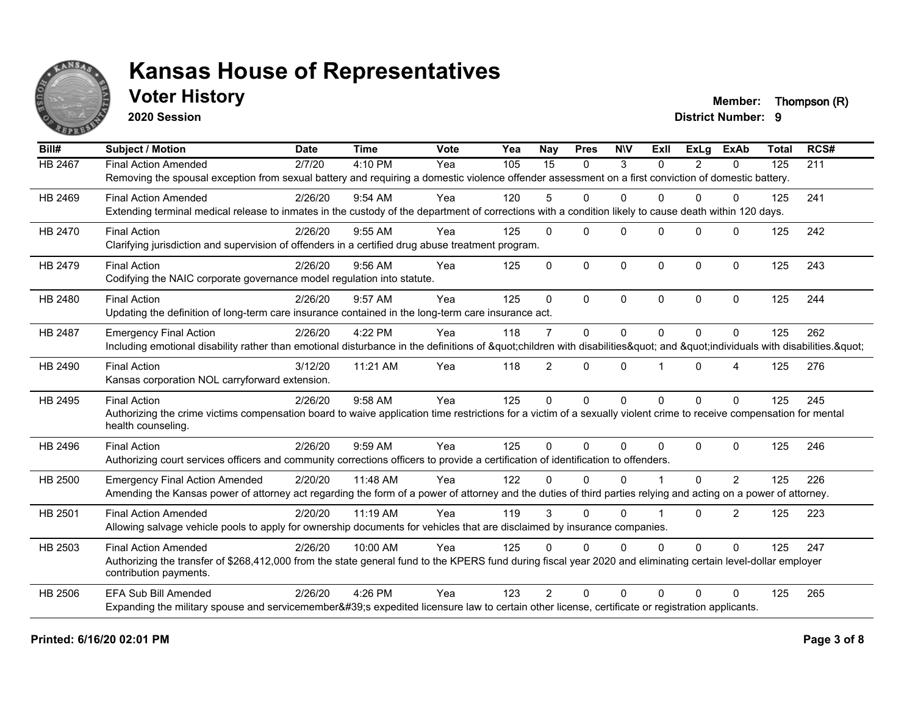

**2020 Session**

**Voter History Member: Thompson (R)** 

| Bill#          | <b>Subject / Motion</b>                                                                                                                                             | <b>Date</b> | <b>Time</b> | Vote | $\overline{Y}$ ea | <b>Nay</b>     | <b>Pres</b>  | <b>NIV</b>   | Exll     | ExLa           | <b>ExAb</b>      | <b>Total</b> | RCS# |
|----------------|---------------------------------------------------------------------------------------------------------------------------------------------------------------------|-------------|-------------|------|-------------------|----------------|--------------|--------------|----------|----------------|------------------|--------------|------|
| HB 2467        | <b>Final Action Amended</b>                                                                                                                                         | 2/7/20      | 4:10 PM     | Yea  | 105               | 15             | $\mathbf{0}$ | 3            | $\Omega$ | $\overline{2}$ | $\mathbf{0}$     | 125          | 211  |
|                | Removing the spousal exception from sexual battery and requiring a domestic violence offender assessment on a first conviction of domestic battery.                 |             |             |      |                   |                |              |              |          |                |                  |              |      |
| HB 2469        | <b>Final Action Amended</b>                                                                                                                                         | 2/26/20     | 9:54 AM     | Yea  | 120               | 5              | 0            | $\Omega$     | 0        | $\Omega$       | $\Omega$         | 125          | 241  |
|                | Extending terminal medical release to inmates in the custody of the department of corrections with a condition likely to cause death within 120 days.               |             |             |      |                   |                |              |              |          |                |                  |              |      |
| HB 2470        | <b>Final Action</b>                                                                                                                                                 | 2/26/20     | $9:55$ AM   | Yea  | 125               | $\Omega$       | $\Omega$     | $\Omega$     | $\Omega$ | $\Omega$       | $\Omega$         | 125          | 242  |
|                | Clarifying jurisdiction and supervision of offenders in a certified drug abuse treatment program.                                                                   |             |             |      |                   |                |              |              |          |                |                  |              |      |
| HB 2479        | <b>Final Action</b>                                                                                                                                                 | 2/26/20     | $9:56$ AM   | Yea  | 125               | $\Omega$       | $\mathbf{0}$ | 0            | $\Omega$ | $\Omega$       | $\mathbf 0$      | 125          | 243  |
|                | Codifying the NAIC corporate governance model regulation into statute.                                                                                              |             |             |      |                   |                |              |              |          |                |                  |              |      |
| HB 2480        | <b>Final Action</b>                                                                                                                                                 | 2/26/20     | 9:57 AM     | Yea  | 125               | $\Omega$       | $\Omega$     | $\Omega$     | $\Omega$ | $\Omega$       | $\Omega$         | 125          | 244  |
|                | Updating the definition of long-term care insurance contained in the long-term care insurance act.                                                                  |             |             |      |                   |                |              |              |          |                |                  |              |      |
| HB 2487        | <b>Emergency Final Action</b>                                                                                                                                       | 2/26/20     | 4:22 PM     | Yea  | 118               | $\overline{7}$ | $\mathbf 0$  | $\mathbf 0$  | $\Omega$ | 0              | $\Omega$         | 125          | 262  |
|                | Including emotional disability rather than emotional disturbance in the definitions of "children with disabilities" and "individuals with disabilities. "           |             |             |      |                   |                |              |              |          |                |                  |              |      |
| HB 2490        | <b>Final Action</b>                                                                                                                                                 | 3/12/20     | 11:21 AM    | Yea  | 118               | $\overline{2}$ | $\mathbf{0}$ | 0            |          | $\Omega$       | $\boldsymbol{4}$ | 125          | 276  |
|                | Kansas corporation NOL carryforward extension.                                                                                                                      |             |             |      |                   |                |              |              |          |                |                  |              |      |
| HB 2495        | <b>Final Action</b>                                                                                                                                                 | 2/26/20     | 9:58 AM     | Yea  | 125               | $\Omega$       | $\mathbf 0$  | $\mathbf{0}$ | $\Omega$ | $\Omega$       | $\Omega$         | 125          | 245  |
|                | Authorizing the crime victims compensation board to waive application time restrictions for a victim of a sexually violent crime to receive compensation for mental |             |             |      |                   |                |              |              |          |                |                  |              |      |
|                | health counseling.                                                                                                                                                  |             |             |      |                   |                |              |              |          |                |                  |              |      |
| HB 2496        | <b>Final Action</b>                                                                                                                                                 | 2/26/20     | 9:59 AM     | Yea  | 125               | $\Omega$       | $\Omega$     | $\Omega$     | $\Omega$ | $\Omega$       | $\Omega$         | 125          | 246  |
|                | Authorizing court services officers and community corrections officers to provide a certification of identification to offenders.                                   |             |             |      |                   |                |              |              |          |                |                  |              |      |
| HB 2500        | <b>Emergency Final Action Amended</b>                                                                                                                               | 2/20/20     | 11:48 AM    | Yea  | 122               | U              | $\Omega$     | $\Omega$     |          | $\Omega$       | 2                | 125          | 226  |
|                | Amending the Kansas power of attorney act regarding the form of a power of attorney and the duties of third parties relying and acting on a power of attorney.      |             |             |      |                   |                |              |              |          |                |                  |              |      |
| HB 2501        | <b>Final Action Amended</b>                                                                                                                                         | 2/20/20     | 11:19 AM    | Yea  | 119               | 3              | $\Omega$     | $\Omega$     |          | $\Omega$       | $\overline{2}$   | 125          | 223  |
|                | Allowing salvage vehicle pools to apply for ownership documents for vehicles that are disclaimed by insurance companies.                                            |             |             |      |                   |                |              |              |          |                |                  |              |      |
| HB 2503        | <b>Final Action Amended</b>                                                                                                                                         | 2/26/20     | 10:00 AM    | Yea  | 125               | $\Omega$       | $\mathbf{0}$ | $\Omega$     | 0        | $\Omega$       | $\Omega$         | 125          | 247  |
|                | Authorizing the transfer of \$268,412,000 from the state general fund to the KPERS fund during fiscal year 2020 and eliminating certain level-dollar employer       |             |             |      |                   |                |              |              |          |                |                  |              |      |
|                | contribution payments.                                                                                                                                              |             |             |      |                   |                |              |              |          |                |                  |              |      |
| <b>HB 2506</b> | <b>EFA Sub Bill Amended</b>                                                                                                                                         | 2/26/20     | 4:26 PM     | Yea  | 123               | $\mathcal{P}$  | $\Omega$     | $\Omega$     | $\Omega$ | 0              | $\Omega$         | 125          | 265  |
|                | Expanding the military spouse and servicemember's expedited licensure law to certain other license, certificate or registration applicants.                         |             |             |      |                   |                |              |              |          |                |                  |              |      |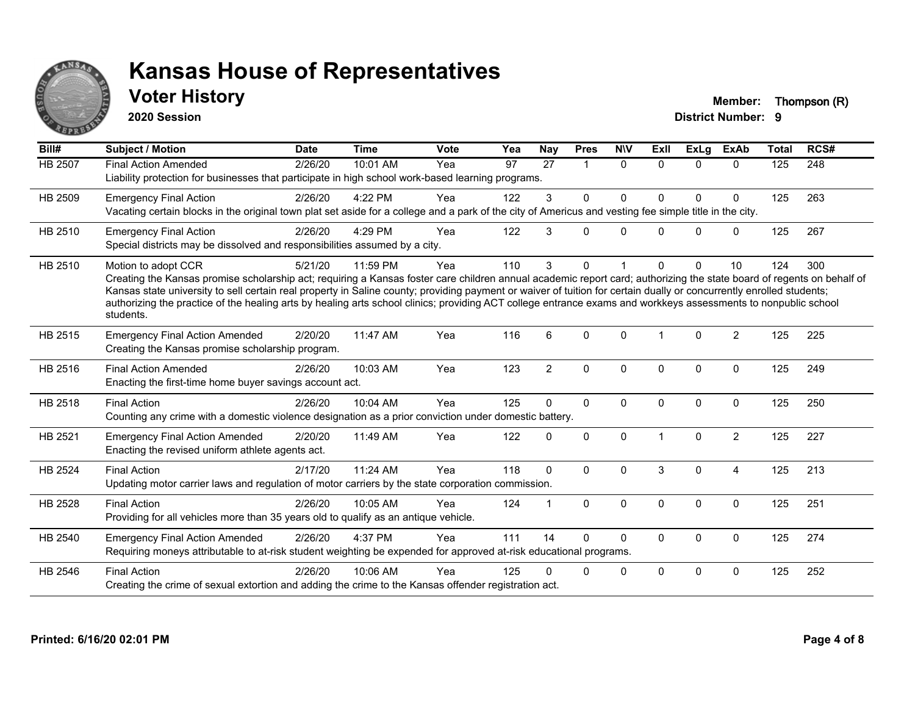

**2020 Session**

**Voter History Member: Thompson (R)** 

| Bill#          | <b>Subject / Motion</b>                                                                                                                                                                                                                                                                                                                                                                                                                                                                                                                             | <b>Date</b> | <b>Time</b> | <b>Vote</b> | Yea | <b>Nay</b>     | <b>Pres</b>          | <b>NIV</b>   | ExIl                 | <b>ExLg</b>  | <b>ExAb</b>    | <b>Total</b> | RCS# |
|----------------|-----------------------------------------------------------------------------------------------------------------------------------------------------------------------------------------------------------------------------------------------------------------------------------------------------------------------------------------------------------------------------------------------------------------------------------------------------------------------------------------------------------------------------------------------------|-------------|-------------|-------------|-----|----------------|----------------------|--------------|----------------------|--------------|----------------|--------------|------|
| <b>HB 2507</b> | <b>Final Action Amended</b><br>Liability protection for businesses that participate in high school work-based learning programs.                                                                                                                                                                                                                                                                                                                                                                                                                    | 2/26/20     | 10:01 AM    | Yea         | 97  | 27             | $\blacktriangleleft$ | $\Omega$     | $\Omega$             | $\Omega$     | $\Omega$       | 125          | 248  |
| HB 2509        | <b>Emergency Final Action</b><br>Vacating certain blocks in the original town plat set aside for a college and a park of the city of Americus and vesting fee simple title in the city.                                                                                                                                                                                                                                                                                                                                                             | 2/26/20     | 4:22 PM     | Yea         | 122 | 3              | $\mathbf{0}$         | $\Omega$     | $\Omega$             | $\Omega$     | $\mathbf{0}$   | 125          | 263  |
| HB 2510        | <b>Emergency Final Action</b><br>Special districts may be dissolved and responsibilities assumed by a city.                                                                                                                                                                                                                                                                                                                                                                                                                                         | 2/26/20     | 4:29 PM     | Yea         | 122 | 3              | $\Omega$             | $\Omega$     | $\Omega$             | $\Omega$     | $\mathbf 0$    | 125          | 267  |
| HB 2510        | Motion to adopt CCR<br>Creating the Kansas promise scholarship act; requiring a Kansas foster care children annual academic report card; authorizing the state board of regents on behalf of<br>Kansas state university to sell certain real property in Saline county; providing payment or waiver of tuition for certain dually or concurrently enrolled students;<br>authorizing the practice of the healing arts by healing arts school clinics; providing ACT college entrance exams and workkeys assessments to nonpublic school<br>students. | 5/21/20     | 11:59 PM    | Yea         | 110 | 3              | $\mathbf{0}$         |              | <sup>0</sup>         | $\Omega$     | 10             | 124          | 300  |
| HB 2515        | <b>Emergency Final Action Amended</b><br>Creating the Kansas promise scholarship program.                                                                                                                                                                                                                                                                                                                                                                                                                                                           | 2/20/20     | 11:47 AM    | Yea         | 116 | 6              | $\Omega$             | $\Omega$     | $\blacktriangleleft$ | $\Omega$     | $\overline{2}$ | 125          | 225  |
| HB 2516        | <b>Final Action Amended</b><br>Enacting the first-time home buyer savings account act.                                                                                                                                                                                                                                                                                                                                                                                                                                                              | 2/26/20     | 10:03 AM    | Yea         | 123 | $\overline{2}$ | $\mathbf 0$          | $\mathbf{0}$ | $\Omega$             | $\Omega$     | $\mathbf{0}$   | 125          | 249  |
| HB 2518        | <b>Final Action</b><br>Counting any crime with a domestic violence designation as a prior conviction under domestic battery.                                                                                                                                                                                                                                                                                                                                                                                                                        | 2/26/20     | 10:04 AM    | Yea         | 125 | $\Omega$       | $\mathbf{0}$         | $\Omega$     | $\mathbf{0}$         | $\Omega$     | $\mathbf{0}$   | 125          | 250  |
| HB 2521        | <b>Emergency Final Action Amended</b><br>Enacting the revised uniform athlete agents act.                                                                                                                                                                                                                                                                                                                                                                                                                                                           | 2/20/20     | 11:49 AM    | Yea         | 122 | $\Omega$       | $\mathbf 0$          | $\Omega$     |                      | $\Omega$     | $\overline{c}$ | 125          | 227  |
| HB 2524        | <b>Final Action</b><br>Updating motor carrier laws and regulation of motor carriers by the state corporation commission.                                                                                                                                                                                                                                                                                                                                                                                                                            | 2/17/20     | 11:24 AM    | Yea         | 118 | $\mathbf{0}$   | $\Omega$             | $\Omega$     | 3                    | $\Omega$     | $\overline{4}$ | 125          | 213  |
| <b>HB 2528</b> | <b>Final Action</b><br>Providing for all vehicles more than 35 years old to qualify as an antique vehicle.                                                                                                                                                                                                                                                                                                                                                                                                                                          | 2/26/20     | 10:05 AM    | Yea         | 124 |                | $\mathbf{0}$         | $\mathbf{0}$ | $\Omega$             | $\mathbf{0}$ | $\mathbf{0}$   | 125          | 251  |
| HB 2540        | <b>Emergency Final Action Amended</b><br>Requiring moneys attributable to at-risk student weighting be expended for approved at-risk educational programs.                                                                                                                                                                                                                                                                                                                                                                                          | 2/26/20     | 4:37 PM     | Yea         | 111 | 14             | $\Omega$             | $\Omega$     | 0                    | 0            | $\mathbf 0$    | 125          | 274  |
| HB 2546        | <b>Final Action</b><br>Creating the crime of sexual extortion and adding the crime to the Kansas offender registration act.                                                                                                                                                                                                                                                                                                                                                                                                                         | 2/26/20     | 10:06 AM    | Yea         | 125 |                | $\mathbf{0}$         | $\mathbf 0$  | $\Omega$             | $\Omega$     | $\mathbf 0$    | 125          | 252  |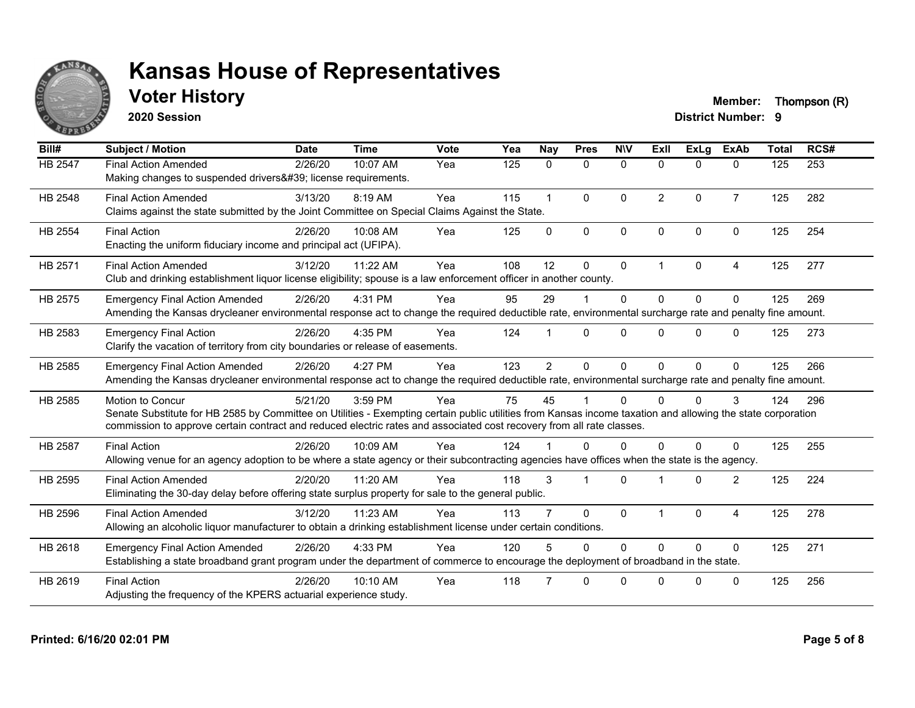

**2020 Session**

**Voter History Member: Thompson (R)** 

| Bill#          | <b>Subject / Motion</b>                                                                                                                                                                                                                                                                                         | <b>Date</b> | <b>Time</b> | Vote | Yea | <b>Nay</b>     | <b>Pres</b>  | <b>NIV</b>   | ExII           | <b>ExLa</b> | <b>ExAb</b>    | <b>Total</b> | RCS# |
|----------------|-----------------------------------------------------------------------------------------------------------------------------------------------------------------------------------------------------------------------------------------------------------------------------------------------------------------|-------------|-------------|------|-----|----------------|--------------|--------------|----------------|-------------|----------------|--------------|------|
| HB 2547        | <b>Final Action Amended</b><br>Making changes to suspended drivers' license requirements.                                                                                                                                                                                                                       | 2/26/20     | 10:07 AM    | Yea  | 125 | $\mathbf{0}$   | $\mathbf 0$  | $\Omega$     | $\Omega$       | $\Omega$    | $\mathbf{0}$   | 125          | 253  |
| HB 2548        | <b>Final Action Amended</b><br>Claims against the state submitted by the Joint Committee on Special Claims Against the State.                                                                                                                                                                                   | 3/13/20     | 8:19 AM     | Yea  | 115 | $\mathbf{1}$   | $\Omega$     | $\Omega$     | $\overline{2}$ | $\Omega$    | $\overline{7}$ | 125          | 282  |
| HB 2554        | <b>Final Action</b><br>Enacting the uniform fiduciary income and principal act (UFIPA).                                                                                                                                                                                                                         | 2/26/20     | 10:08 AM    | Yea  | 125 | $\Omega$       | $\mathbf{0}$ | $\mathbf{0}$ | $\mathbf{0}$   | $\Omega$    | $\mathbf{0}$   | 125          | 254  |
| HB 2571        | <b>Final Action Amended</b><br>Club and drinking establishment liquor license eligibility; spouse is a law enforcement officer in another county.                                                                                                                                                               | 3/12/20     | 11:22 AM    | Yea  | 108 | 12             | $\Omega$     | $\Omega$     | $\overline{1}$ | $\Omega$    | $\overline{4}$ | 125          | 277  |
| HB 2575        | <b>Emergency Final Action Amended</b><br>Amending the Kansas drycleaner environmental response act to change the required deductible rate, environmental surcharge rate and penalty fine amount.                                                                                                                | 2/26/20     | 4:31 PM     | Yea  | 95  | 29             |              | $\Omega$     | $\Omega$       | $\Omega$    | $\mathbf{0}$   | 125          | 269  |
| HB 2583        | <b>Emergency Final Action</b><br>Clarify the vacation of territory from city boundaries or release of easements.                                                                                                                                                                                                | 2/26/20     | 4:35 PM     | Yea  | 124 |                | $\Omega$     | $\Omega$     | $\Omega$       | $\Omega$    | $\Omega$       | 125          | 273  |
| HB 2585        | <b>Emergency Final Action Amended</b><br>Amending the Kansas drycleaner environmental response act to change the required deductible rate, environmental surcharge rate and penalty fine amount.                                                                                                                | 2/26/20     | 4:27 PM     | Yea  | 123 | $\overline{2}$ | $\mathbf{0}$ | $\Omega$     | $\Omega$       | $\Omega$    | $\mathbf{0}$   | 125          | 266  |
| HB 2585        | <b>Motion to Concur</b><br>Senate Substitute for HB 2585 by Committee on Utilities - Exempting certain public utilities from Kansas income taxation and allowing the state corporation<br>commission to approve certain contract and reduced electric rates and associated cost recovery from all rate classes. | 5/21/20     | 3:59 PM     | Yea  | 75  | 45             |              | $\Omega$     | 0              | $\Omega$    | 3              | 124          | 296  |
| <b>HB 2587</b> | <b>Final Action</b><br>Allowing venue for an agency adoption to be where a state agency or their subcontracting agencies have offices when the state is the agency.                                                                                                                                             | 2/26/20     | 10:09 AM    | Yea  | 124 |                | $\Omega$     | $\Omega$     | U              | $\Omega$    | $\Omega$       | 125          | 255  |
| HB 2595        | <b>Final Action Amended</b><br>Eliminating the 30-day delay before offering state surplus property for sale to the general public.                                                                                                                                                                              | 2/20/20     | 11:20 AM    | Yea  | 118 | 3              |              | $\Omega$     |                | $\Omega$    | 2              | 125          | 224  |
| HB 2596        | <b>Final Action Amended</b><br>Allowing an alcoholic liquor manufacturer to obtain a drinking establishment license under certain conditions.                                                                                                                                                                   | 3/12/20     | 11:23 AM    | Yea  | 113 |                | $\Omega$     | $\mathbf{0}$ |                | $\Omega$    | $\overline{4}$ | 125          | 278  |
| HB 2618        | <b>Emergency Final Action Amended</b><br>Establishing a state broadband grant program under the department of commerce to encourage the deployment of broadband in the state.                                                                                                                                   | 2/26/20     | 4:33 PM     | Yea  | 120 |                | $\Omega$     | $\Omega$     | $\Omega$       | $\Omega$    | $\Omega$       | 125          | 271  |
| HB 2619        | <b>Final Action</b><br>Adjusting the frequency of the KPERS actuarial experience study.                                                                                                                                                                                                                         | 2/26/20     | $10:10$ AM  | Yea  | 118 |                | $\Omega$     | $\Omega$     | $\Omega$       | $\Omega$    | $\Omega$       | 125          | 256  |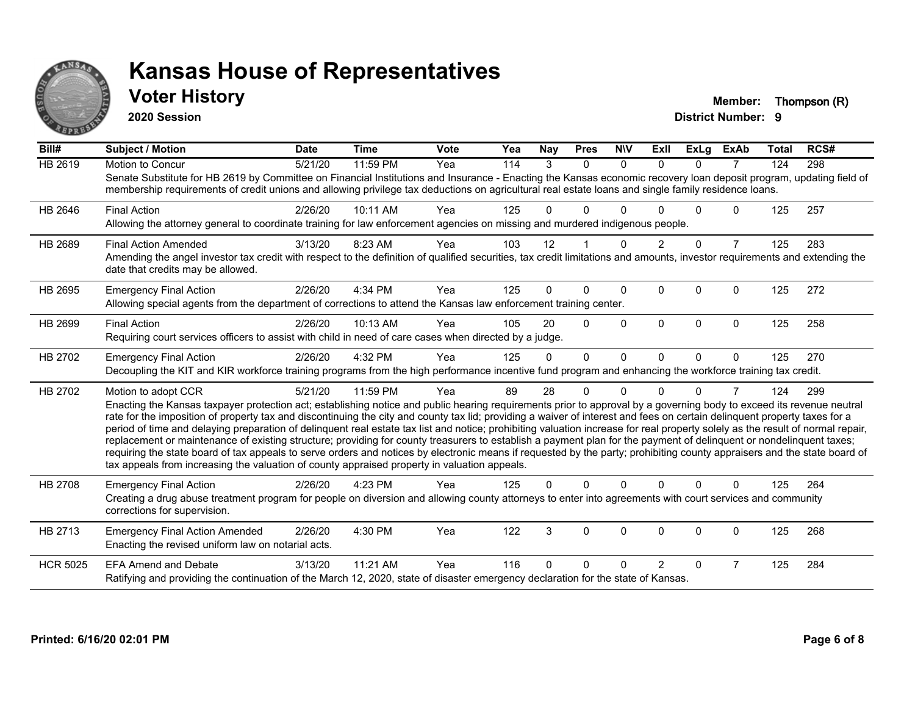

## **Voter History Member: Thompson (R)**

**2020 Session**

| Bill#           | Subject / Motion                                                                                                                                                                                                                                                                                                                                                                                                                                                                                                                                                                                                                                                                                                                                                                                                                                                                                                                                                                                              | <b>Date</b> | <b>Time</b> | <b>Vote</b> | Yea | Nav      | <b>Pres</b>    | <b>NIV</b>   | ExII           | ExLg     | <b>ExAb</b>    | <b>Total</b> | RCS# |
|-----------------|---------------------------------------------------------------------------------------------------------------------------------------------------------------------------------------------------------------------------------------------------------------------------------------------------------------------------------------------------------------------------------------------------------------------------------------------------------------------------------------------------------------------------------------------------------------------------------------------------------------------------------------------------------------------------------------------------------------------------------------------------------------------------------------------------------------------------------------------------------------------------------------------------------------------------------------------------------------------------------------------------------------|-------------|-------------|-------------|-----|----------|----------------|--------------|----------------|----------|----------------|--------------|------|
| <b>HB 2619</b>  | <b>Motion to Concur</b><br>Senate Substitute for HB 2619 by Committee on Financial Institutions and Insurance - Enacting the Kansas economic recovery loan deposit program, updating field of<br>membership requirements of credit unions and allowing privilege tax deductions on agricultural real estate loans and single family residence loans.                                                                                                                                                                                                                                                                                                                                                                                                                                                                                                                                                                                                                                                          | 5/21/20     | 11:59 PM    | Yea         | 114 | 3        | $\Omega$       | $\Omega$     | $\Omega$       | $\Omega$ | $\overline{7}$ | 124          | 298  |
| HB 2646         | <b>Final Action</b><br>Allowing the attorney general to coordinate training for law enforcement agencies on missing and murdered indigenous people.                                                                                                                                                                                                                                                                                                                                                                                                                                                                                                                                                                                                                                                                                                                                                                                                                                                           | 2/26/20     | 10:11 AM    | Yea         | 125 | 0        | 0              | n            |                | 0        | 0              | 125          | 257  |
| HB 2689         | <b>Final Action Amended</b><br>Amending the angel investor tax credit with respect to the definition of qualified securities, tax credit limitations and amounts, investor requirements and extending the<br>date that credits may be allowed.                                                                                                                                                                                                                                                                                                                                                                                                                                                                                                                                                                                                                                                                                                                                                                | 3/13/20     | 8:23 AM     | Yea         | 103 | 12       |                | $\Omega$     | $\overline{2}$ | $\Omega$ | $\overline{7}$ | 125          | 283  |
| HB 2695         | <b>Emergency Final Action</b><br>Allowing special agents from the department of corrections to attend the Kansas law enforcement training center.                                                                                                                                                                                                                                                                                                                                                                                                                                                                                                                                                                                                                                                                                                                                                                                                                                                             | 2/26/20     | 4:34 PM     | Yea         | 125 | 0        | 0              | $\Omega$     | $\Omega$       | $\Omega$ | 0              | 125          | 272  |
| HB 2699         | <b>Final Action</b><br>Requiring court services officers to assist with child in need of care cases when directed by a judge.                                                                                                                                                                                                                                                                                                                                                                                                                                                                                                                                                                                                                                                                                                                                                                                                                                                                                 | 2/26/20     | 10:13 AM    | Yea         | 105 | 20       | $\Omega$       | $\Omega$     | $\Omega$       | $\Omega$ | 0              | 125          | 258  |
| HB 2702         | <b>Emergency Final Action</b><br>Decoupling the KIT and KIR workforce training programs from the high performance incentive fund program and enhancing the workforce training tax credit.                                                                                                                                                                                                                                                                                                                                                                                                                                                                                                                                                                                                                                                                                                                                                                                                                     | 2/26/20     | 4:32 PM     | Yea         | 125 | $\Omega$ | $\overline{0}$ | $\mathbf{0}$ | $\Omega$       | $\Omega$ | $\mathbf{0}$   | 125          | 270  |
| HB 2702         | Motion to adopt CCR<br>Enacting the Kansas taxpayer protection act; establishing notice and public hearing requirements prior to approval by a governing body to exceed its revenue neutral<br>rate for the imposition of property tax and discontinuing the city and county tax lid; providing a waiver of interest and fees on certain delinquent property taxes for a<br>period of time and delaying preparation of delinquent real estate tax list and notice; prohibiting valuation increase for real property solely as the result of normal repair,<br>replacement or maintenance of existing structure; providing for county treasurers to establish a payment plan for the payment of delinquent or nondelinquent taxes;<br>requiring the state board of tax appeals to serve orders and notices by electronic means if requested by the party; prohibiting county appraisers and the state board of<br>tax appeals from increasing the valuation of county appraised property in valuation appeals. | 5/21/20     | 11:59 PM    | Yea         | 89  | 28       | 0              | $\Omega$     | n              | $\Omega$ | 7              | 124          | 299  |
| HB 2708         | <b>Emergency Final Action</b><br>Creating a drug abuse treatment program for people on diversion and allowing county attorneys to enter into agreements with court services and community<br>corrections for supervision.                                                                                                                                                                                                                                                                                                                                                                                                                                                                                                                                                                                                                                                                                                                                                                                     | 2/26/20     | 4:23 PM     | Yea         | 125 | 0        | $\Omega$       | $\Omega$     | $\Omega$       | $\Omega$ | $\Omega$       | 125          | 264  |
| HB 2713         | <b>Emergency Final Action Amended</b><br>Enacting the revised uniform law on notarial acts.                                                                                                                                                                                                                                                                                                                                                                                                                                                                                                                                                                                                                                                                                                                                                                                                                                                                                                                   | 2/26/20     | 4:30 PM     | Yea         | 122 | 3        | 0              | 0            | $\Omega$       | $\Omega$ | 0              | 125          | 268  |
| <b>HCR 5025</b> | <b>EFA Amend and Debate</b><br>Ratifying and providing the continuation of the March 12, 2020, state of disaster emergency declaration for the state of Kansas.                                                                                                                                                                                                                                                                                                                                                                                                                                                                                                                                                                                                                                                                                                                                                                                                                                               | 3/13/20     | 11:21 AM    | Yea         | 116 | 0        | 0              | n            | $\overline{2}$ | $\Omega$ | 7              | 125          | 284  |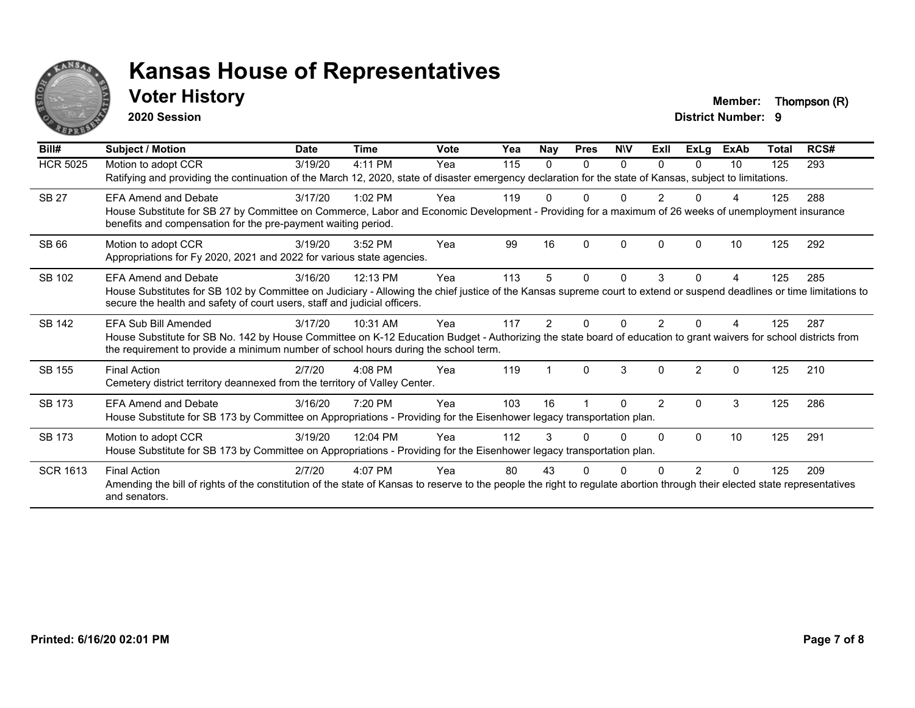

## **Voter History Member: Thompson (R)**

**2020 Session**

| Bill#           | Subject / Motion                                                                                                                                                                                                                                                                  | <b>Date</b> | <b>Time</b> | <b>Vote</b> | Yea | <b>Nay</b> | <b>Pres</b> | <b>NIV</b>   | ExII           | <b>ExLg</b>    | <b>ExAb</b> | <b>Total</b> | RCS# |
|-----------------|-----------------------------------------------------------------------------------------------------------------------------------------------------------------------------------------------------------------------------------------------------------------------------------|-------------|-------------|-------------|-----|------------|-------------|--------------|----------------|----------------|-------------|--------------|------|
| <b>HCR 5025</b> | Motion to adopt CCR<br>Ratifying and providing the continuation of the March 12, 2020, state of disaster emergency declaration for the state of Kansas, subject to limitations.                                                                                                   | 3/19/20     | 4:11 PM     | Yea         | 115 | $\Omega$   | 0           | $\Omega$     | 0              | 0              | 10          | 125          | 293  |
| <b>SB 27</b>    | <b>EFA Amend and Debate</b><br>House Substitute for SB 27 by Committee on Commerce, Labor and Economic Development - Providing for a maximum of 26 weeks of unemployment insurance<br>benefits and compensation for the pre-payment waiting period.                               | 3/17/20     | $1:02$ PM   | Yea         | 119 |            |             |              |                |                | 4           | 125          | 288  |
| SB 66           | Motion to adopt CCR<br>Appropriations for Fy 2020, 2021 and 2022 for various state agencies.                                                                                                                                                                                      | 3/19/20     | 3:52 PM     | Yea         | 99  | 16         | ŋ           | $\Omega$     | $\Omega$       | n              | 10          | 125          | 292  |
| SB 102          | <b>EFA Amend and Debate</b><br>House Substitutes for SB 102 by Committee on Judiciary - Allowing the chief justice of the Kansas supreme court to extend or suspend deadlines or time limitations to<br>secure the health and safety of court users, staff and judicial officers. | 3/16/20     | 12:13 PM    | Yea         | 113 | 5          | 0           | $\mathbf{0}$ | 3              | 0              | 4           | 125          | 285  |
| SB 142          | EFA Sub Bill Amended<br>House Substitute for SB No. 142 by House Committee on K-12 Education Budget - Authorizing the state board of education to grant waivers for school districts from<br>the requirement to provide a minimum number of school hours during the school term.  | 3/17/20     | 10:31 AM    | Yea         | 117 | 2          |             | U            |                |                |             | 125          | 287  |
| SB 155          | <b>Final Action</b><br>Cemetery district territory deannexed from the territory of Valley Center.                                                                                                                                                                                 | 2/7/20      | $4:08$ PM   | Yea         | 119 |            | $\Omega$    | 3            | 0              | $\mathfrak{p}$ | 0           | 125          | 210  |
| SB 173          | <b>EFA Amend and Debate</b><br>House Substitute for SB 173 by Committee on Appropriations - Providing for the Eisenhower legacy transportation plan.                                                                                                                              | 3/16/20     | 7:20 PM     | Yea         | 103 | 16         |             | $\Omega$     | $\overline{2}$ | $\Omega$       | 3           | 125          | 286  |
| SB 173          | Motion to adopt CCR<br>House Substitute for SB 173 by Committee on Appropriations - Providing for the Eisenhower legacy transportation plan.                                                                                                                                      | 3/19/20     | 12:04 PM    | Yea         | 112 | 3          |             | <sup>0</sup> | 0              | 0              | 10          | 125          | 291  |
| <b>SCR 1613</b> | <b>Final Action</b><br>Amending the bill of rights of the constitution of the state of Kansas to reserve to the people the right to regulate abortion through their elected state representatives<br>and senators.                                                                | 2/7/20      | 4:07 PM     | Yea         | 80  | 43         |             |              |                |                | 0           | 125          | 209  |